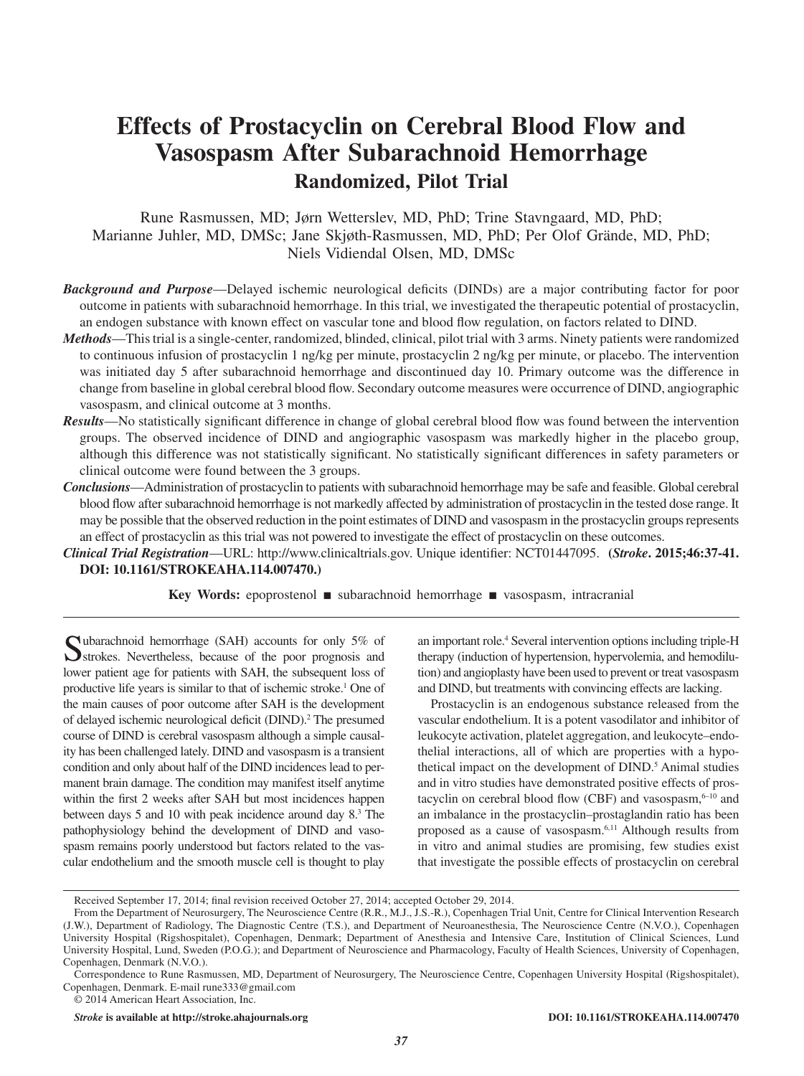# **Effects of Prostacyclin on Cerebral Blood Flow and Vasospasm After Subarachnoid Hemorrhage Randomized, Pilot Trial**

Rune Rasmussen, MD; Jørn Wetterslev, MD, PhD; Trine Stavngaard, MD, PhD; Marianne Juhler, MD, DMSc; Jane Skjøth-Rasmussen, MD, PhD; Per Olof Grände, MD, PhD; Niels Vidiendal Olsen, MD, DMSc

- *Background and Purpose*—Delayed ischemic neurological deficits (DINDs) are a major contributing factor for poor outcome in patients with subarachnoid hemorrhage. In this trial, we investigated the therapeutic potential of prostacyclin, an endogen substance with known effect on vascular tone and blood flow regulation, on factors related to DIND.
- *Methods*—This trial is a single-center, randomized, blinded, clinical, pilot trial with 3 arms. Ninety patients were randomized to continuous infusion of prostacyclin 1 ng/kg per minute, prostacyclin 2 ng/kg per minute, or placebo. The intervention was initiated day 5 after subarachnoid hemorrhage and discontinued day 10. Primary outcome was the difference in change from baseline in global cerebral blood flow. Secondary outcome measures were occurrence of DIND, angiographic vasospasm, and clinical outcome at 3 months.
- *Results*—No statistically significant difference in change of global cerebral blood flow was found between the intervention groups. The observed incidence of DIND and angiographic vasospasm was markedly higher in the placebo group, although this difference was not statistically significant. No statistically significant differences in safety parameters or clinical outcome were found between the 3 groups.
- *Conclusions*—Administration of prostacyclin to patients with subarachnoid hemorrhage may be safe and feasible. Global cerebral blood flow after subarachnoid hemorrhage is not markedly affected by administration of prostacyclin in the tested dose range. It may be possible that the observed reduction in the point estimates of DIND and vasospasm in the prostacyclin groups represents an effect of prostacyclin as this trial was not powered to investigate the effect of prostacyclin on these outcomes.
- *Clinical Trial Registration*—URL: [http://www.clinicaltrials.gov.](http://www.clinicaltrials.gov) Unique identifier: NCT01447095. **(***Stroke***. 2015;46:37-41. DOI: 10.1161/STROKEAHA.114.007470.)**

**Key Words:** epoprostenol ■ subarachnoid hemorrhage ■ vasospasm, intracranial

Subarachnoid hemorrhage (SAH) accounts for only 5% of strokes. Nevertheless, because of the poor prognosis and lower patient age for patients with SAH, the subsequent loss of productive life years is similar to that of ischemic stroke.<sup>1</sup> One of the main causes of poor outcome after SAH is the development of delayed ischemic neurological deficit (DIND).<sup>2</sup> The presumed course of DIND is cerebral vasospasm although a simple causality has been challenged lately. DIND and vasospasm is a transient condition and only about half of the DIND incidences lead to permanent brain damage. The condition may manifest itself anytime within the first 2 weeks after SAH but most incidences happen between days 5 and 10 with peak incidence around day 8.<sup>3</sup> The pathophysiology behind the development of DIND and vasospasm remains poorly understood but factors related to the vascular endothelium and the smooth muscle cell is thought to play

an important role.<sup>4</sup> Several intervention options including triple-H therapy (induction of hypertension, hypervolemia, and hemodilution) and angioplasty have been used to prevent or treat vasospasm and DIND, but treatments with convincing effects are lacking.

Prostacyclin is an endogenous substance released from the vascular endothelium. It is a potent vasodilator and inhibitor of leukocyte activation, platelet aggregation, and leukocyte–endothelial interactions, all of which are properties with a hypothetical impact on the development of DIND.<sup>5</sup> Animal studies and in vitro studies have demonstrated positive effects of prostacyclin on cerebral blood flow (CBF) and vasospasm, $6-10$  and an imbalance in the prostacyclin–prostaglandin ratio has been proposed as a cause of vasospasm.6,11 Although results from in vitro and animal studies are promising, few studies exist that investigate the possible effects of prostacyclin on cerebral

Received September 17, 2014; final revision received October 27, 2014; accepted October 29, 2014.

From the Department of Neurosurgery, The Neuroscience Centre (R.R., M.J., J.S.-R.), Copenhagen Trial Unit, Centre for Clinical Intervention Research (J.W.), Department of Radiology, The Diagnostic Centre (T.S.), and Department of Neuroanesthesia, The Neuroscience Centre (N.V.O.), Copenhagen University Hospital (Rigshospitalet), Copenhagen, Denmark; Department of Anesthesia and Intensive Care, Institution of Clinical Sciences, Lund University Hospital, Lund, Sweden (P.O.G.); and Department of Neuroscience and Pharmacology, Faculty of Health Sciences, University of Copenhagen, Copenhagen, Denmark (N.V.O.).

Correspondence to Rune Rasmussen, MD, Department of Neurosurgery, The Neuroscience Centre, Copenhagen University Hospital (Rigshospitalet), Copenhagen, Denmark. E-mail [rune333@gmail.com](mailto:rune333@gmail.com)

<sup>© 2014</sup> American Heart Association, Inc.

*Stroke* **is available at http://stroke.ahajournals.org DOI: 10.1161/STROKEAHA.114.007470**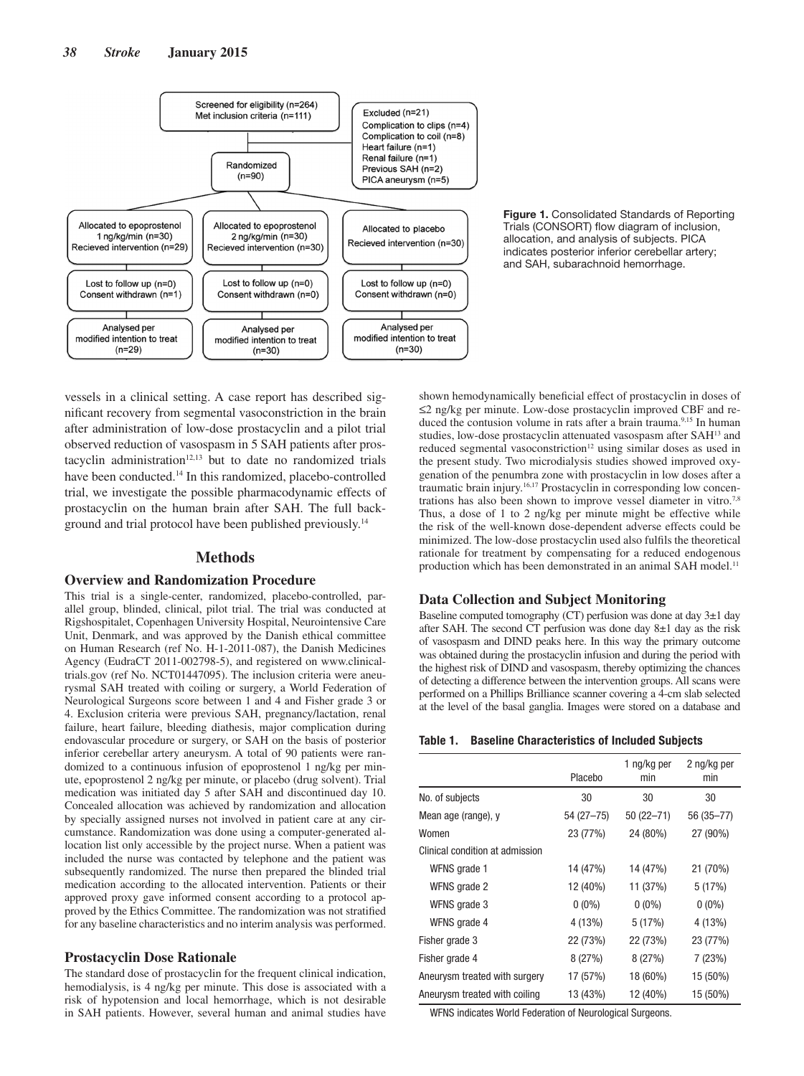



vessels in a clinical setting. A case report has described significant recovery from segmental vasoconstriction in the brain after administration of low-dose prostacyclin and a pilot trial observed reduction of vasospasm in 5 SAH patients after prostacyclin administration $12,13$  but to date no randomized trials have been conducted.<sup>14</sup> In this randomized, placebo-controlled trial, we investigate the possible pharmacodynamic effects of prostacyclin on the human brain after SAH. The full background and trial protocol have been published previously.14

# **Methods**

#### **Overview and Randomization Procedure**

This trial is a single-center, randomized, placebo-controlled, parallel group, blinded, clinical, pilot trial. The trial was conducted at Rigshospitalet, Copenhagen University Hospital, Neurointensive Care Unit, Denmark, and was approved by the Danish ethical committee on Human Research (ref No. H-1-2011-087), the Danish Medicines Agency (EudraCT 2011-002798-5), and registered on [www.clinical](www.clinicaltrials.gov)[trials.gov](www.clinicaltrials.gov) (ref No. NCT01447095). The inclusion criteria were aneurysmal SAH treated with coiling or surgery, a World Federation of Neurological Surgeons score between 1 and 4 and Fisher grade 3 or 4. Exclusion criteria were previous SAH, pregnancy/lactation, renal failure, heart failure, bleeding diathesis, major complication during endovascular procedure or surgery, or SAH on the basis of posterior inferior cerebellar artery aneurysm. A total of 90 patients were randomized to a continuous infusion of epoprostenol 1 ng/kg per minute, epoprostenol 2 ng/kg per minute, or placebo (drug solvent). Trial medication was initiated day 5 after SAH and discontinued day 10. Concealed allocation was achieved by randomization and allocation by specially assigned nurses not involved in patient care at any circumstance. Randomization was done using a computer-generated allocation list only accessible by the project nurse. When a patient was included the nurse was contacted by telephone and the patient was subsequently randomized. The nurse then prepared the blinded trial medication according to the allocated intervention. Patients or their approved proxy gave informed consent according to a protocol approved by the Ethics Committee. The randomization was not stratified for any baseline characteristics and no interim analysis was performed.

# **Prostacyclin Dose Rationale**

The standard dose of prostacyclin for the frequent clinical indication, hemodialysis, is 4 ng/kg per minute. This dose is associated with a risk of hypotension and local hemorrhage, which is not desirable in SAH patients. However, several human and animal studies have

shown hemodynamically beneficial effect of prostacyclin in doses of ≤2 ng/kg per minute. Low-dose prostacyclin improved CBF and reduced the contusion volume in rats after a brain trauma.<sup>9,15</sup> In human studies, low-dose prostacyclin attenuated vasospasm after SAH13 and reduced segmental vasoconstriction<sup>12</sup> using similar doses as used in the present study. Two microdialysis studies showed improved oxygenation of the penumbra zone with prostacyclin in low doses after a traumatic brain injury.<sup>16,17</sup> Prostacyclin in corresponding low concentrations has also been shown to improve vessel diameter in vitro.<sup>7,8</sup> Thus, a dose of 1 to 2 ng/kg per minute might be effective while the risk of the well-known dose-dependent adverse effects could be minimized. The low-dose prostacyclin used also fulfils the theoretical rationale for treatment by compensating for a reduced endogenous production which has been demonstrated in an animal SAH model.<sup>11</sup>

# **Data Collection and Subject Monitoring**

Baseline computed tomography (CT) perfusion was done at day  $3\pm 1$  day after SAH. The second CT perfusion was done day 8±1 day as the risk of vasospasm and DIND peaks here. In this way the primary outcome was obtained during the prostacyclin infusion and during the period with the highest risk of DIND and vasospasm, thereby optimizing the chances of detecting a difference between the intervention groups. All scans were performed on a Phillips Brilliance scanner covering a 4-cm slab selected at the level of the basal ganglia. Images were stored on a database and

#### **Table 1. Baseline Characteristics of Included Subjects**

|                                 | Placebo     | 1 ng/kg per<br>min | 2 ng/kg per<br>min |
|---------------------------------|-------------|--------------------|--------------------|
| No. of subjects                 | 30          | 30                 | 30                 |
| Mean age (range), y             | $54(27-75)$ | $50(22 - 71)$      | 56 (35-77)         |
| Women                           | 23 (77%)    | 24 (80%)           | 27 (90%)           |
| Clinical condition at admission |             |                    |                    |
| WFNS grade 1                    | 14 (47%)    | 14 (47%)           | 21 (70%)           |
| WFNS grade 2                    | 12 (40%)    | 11 (37%)           | 5(17%)             |
| WFNS grade 3                    | $0(0\%)$    | $0(0\%)$           | $0(0\%)$           |
| WFNS grade 4                    | 4 (13%)     | 5(17%)             | 4 (13%)            |
| Fisher grade 3                  | 22 (73%)    | 22 (73%)           | 23 (77%)           |
| Fisher grade 4                  | 8(27%)      | 8(27%)             | 7(23%)             |
| Aneurysm treated with surgery   | 17 (57%)    | 18 (60%)           | 15 (50%)           |
| Aneurysm treated with coiling   | 13 (43%)    | 12 (40%)           | 15 (50%)           |

WFNS indicates World Federation of Neurological Surgeons.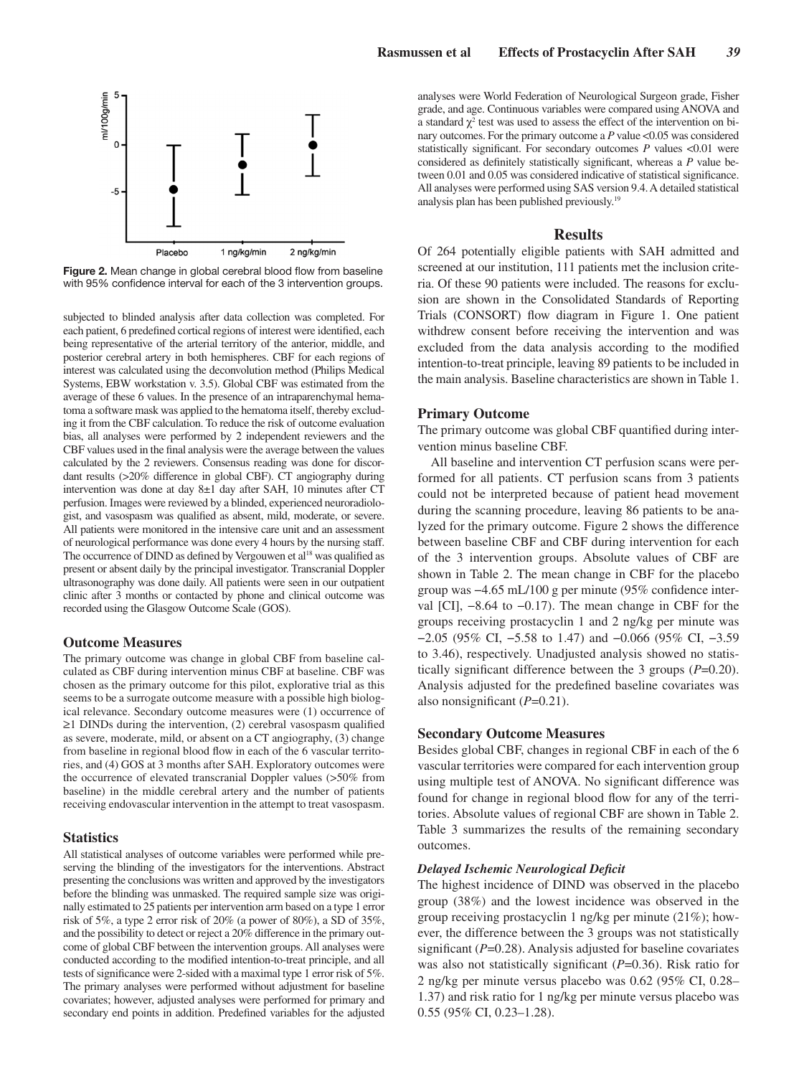

**Figure 2.** Mean change in global cerebral blood flow from baseline with 95% confidence interval for each of the 3 intervention groups.

subjected to blinded analysis after data collection was completed. For each patient, 6 predefined cortical regions of interest were identified, each being representative of the arterial territory of the anterior, middle, and posterior cerebral artery in both hemispheres. CBF for each regions of interest was calculated using the deconvolution method (Philips Medical Systems, EBW workstation v. 3.5). Global CBF was estimated from the average of these 6 values. In the presence of an intraparenchymal hematoma a software mask was applied to the hematoma itself, thereby excluding it from the CBF calculation. To reduce the risk of outcome evaluation bias, all analyses were performed by 2 independent reviewers and the CBF values used in the final analysis were the average between the values calculated by the 2 reviewers. Consensus reading was done for discordant results (>20% difference in global CBF). CT angiography during intervention was done at day 8±1 day after SAH, 10 minutes after CT perfusion. Images were reviewed by a blinded, experienced neuroradiologist, and vasospasm was qualified as absent, mild, moderate, or severe. All patients were monitored in the intensive care unit and an assessment of neurological performance was done every 4 hours by the nursing staff. The occurrence of DIND as defined by Vergouwen et al<sup>18</sup> was qualified as present or absent daily by the principal investigator. Transcranial Doppler ultrasonography was done daily. All patients were seen in our outpatient clinic after 3 months or contacted by phone and clinical outcome was recorded using the Glasgow Outcome Scale (GOS).

# **Outcome Measures**

The primary outcome was change in global CBF from baseline calculated as CBF during intervention minus CBF at baseline. CBF was chosen as the primary outcome for this pilot, explorative trial as this seems to be a surrogate outcome measure with a possible high biological relevance. Secondary outcome measures were (1) occurrence of ≥1 DINDs during the intervention, (2) cerebral vasospasm qualified as severe, moderate, mild, or absent on a CT angiography, (3) change from baseline in regional blood flow in each of the 6 vascular territories, and (4) GOS at 3 months after SAH. Exploratory outcomes were the occurrence of elevated transcranial Doppler values (>50% from baseline) in the middle cerebral artery and the number of patients receiving endovascular intervention in the attempt to treat vasospasm.

# **Statistics**

All statistical analyses of outcome variables were performed while preserving the blinding of the investigators for the interventions. Abstract presenting the conclusions was written and approved by the investigators before the blinding was unmasked. The required sample size was originally estimated to 25 patients per intervention arm based on a type 1 error risk of 5%, a type 2 error risk of 20% (a power of 80%), a SD of 35%, and the possibility to detect or reject a 20% difference in the primary outcome of global CBF between the intervention groups. All analyses were conducted according to the modified intention-to-treat principle, and all tests of significance were 2-sided with a maximal type 1 error risk of 5%. The primary analyses were performed without adjustment for baseline covariates; however, adjusted analyses were performed for primary and secondary end points in addition. Predefined variables for the adjusted analyses were World Federation of Neurological Surgeon grade, Fisher grade, and age. Continuous variables were compared using ANOVA and a standard  $\chi^2$  test was used to assess the effect of the intervention on binary outcomes. For the primary outcome a P value <0.05 was considered statistically significant. For secondary outcomes *P* values <0.01 were considered as definitely statistically significant, whereas a *P* value between 0.01 and 0.05 was considered indicative of statistical significance. All analyses were performed using SAS version 9.4. A detailed statistical analysis plan has been published previously.19

# **Results**

Of 264 potentially eligible patients with SAH admitted and screened at our institution, 111 patients met the inclusion criteria. Of these 90 patients were included. The reasons for exclusion are shown in the Consolidated Standards of Reporting Trials (CONSORT) flow diagram in Figure 1. One patient withdrew consent before receiving the intervention and was excluded from the data analysis according to the modified intention-to-treat principle, leaving 89 patients to be included in the main analysis. Baseline characteristics are shown in Table 1.

# **Primary Outcome**

The primary outcome was global CBF quantified during intervention minus baseline CBF.

All baseline and intervention CT perfusion scans were performed for all patients. CT perfusion scans from 3 patients could not be interpreted because of patient head movement during the scanning procedure, leaving 86 patients to be analyzed for the primary outcome. Figure 2 shows the difference between baseline CBF and CBF during intervention for each of the 3 intervention groups. Absolute values of CBF are shown in Table 2. The mean change in CBF for the placebo group was −4.65 mL/100 g per minute (95% confidence interval [CI], −8.64 to −0.17). The mean change in CBF for the groups receiving prostacyclin 1 and 2 ng/kg per minute was −2.05 (95% CI, −5.58 to 1.47) and −0.066 (95% CI, −3.59 to 3.46), respectively. Unadjusted analysis showed no statistically significant difference between the 3 groups (*P*=0.20). Analysis adjusted for the predefined baseline covariates was also nonsignificant (*P*=0.21).

#### **Secondary Outcome Measures**

Besides global CBF, changes in regional CBF in each of the 6 vascular territories were compared for each intervention group using multiple test of ANOVA. No significant difference was found for change in regional blood flow for any of the territories. Absolute values of regional CBF are shown in Table 2. Table 3 summarizes the results of the remaining secondary outcomes.

#### *Delayed Ischemic Neurological Deficit*

The highest incidence of DIND was observed in the placebo group (38%) and the lowest incidence was observed in the group receiving prostacyclin 1 ng/kg per minute (21%); however, the difference between the 3 groups was not statistically significant (*P*=0.28). Analysis adjusted for baseline covariates was also not statistically significant (*P*=0.36). Risk ratio for 2 ng/kg per minute versus placebo was 0.62 (95% CI, 0.28– 1.37) and risk ratio for 1 ng/kg per minute versus placebo was 0.55 (95% CI, 0.23–1.28).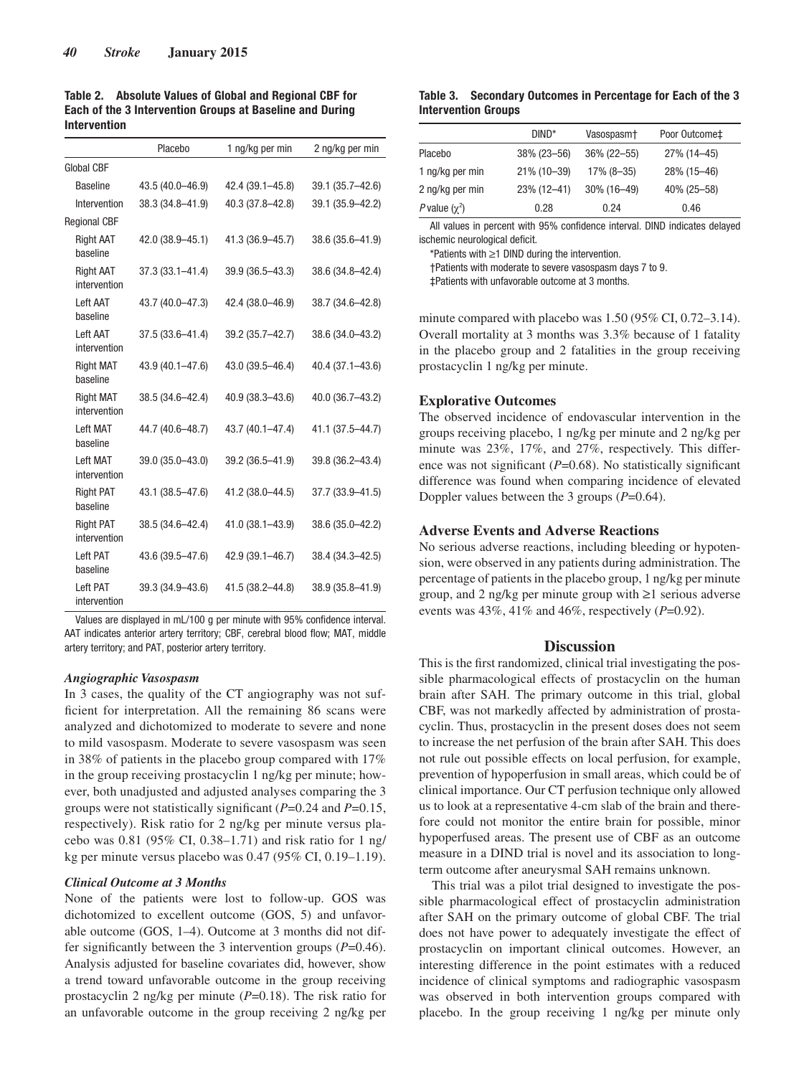|                     |  |  | Table 2. Absolute Values of Global and Regional CBF for  |
|---------------------|--|--|----------------------------------------------------------|
|                     |  |  | Each of the 3 Intervention Groups at Baseline and During |
| <b>Intervention</b> |  |  |                                                          |

|                                  | Placebo             | 1 ng/kg per min  | 2 ng/kg per min  |
|----------------------------------|---------------------|------------------|------------------|
| Global CBF                       |                     |                  |                  |
| <b>Baseline</b>                  | 43.5 (40.0-46.9)    | 42.4 (39.1-45.8) | 39.1 (35.7-42.6) |
| Intervention                     | 38.3 (34.8-41.9)    | 40.3 (37.8-42.8) | 39.1 (35.9-42.2) |
| <b>Regional CBF</b>              |                     |                  |                  |
| <b>Right AAT</b><br>haseline     | 42.0 (38.9-45.1)    | 41.3 (36.9-45.7) | 38.6 (35.6-41.9) |
| <b>Right AAT</b><br>intervention | $37.3(33.1 - 41.4)$ | 39.9 (36.5-43.3) | 38.6 (34.8-42.4) |
| <b>Left AAT</b><br>baseline      | 43.7 (40.0-47.3)    | 42.4 (38.0-46.9) | 38.7 (34.6-42.8) |
| <b>Left AAT</b><br>intervention  | $37.5(33.6 - 41.4)$ | 39.2 (35.7-42.7) | 38.6 (34.0-43.2) |
| <b>Right MAT</b><br>haseline     | 43.9 (40.1-47.6)    | 43.0 (39.5-46.4) | 40.4 (37.1-43.6) |
| <b>Right MAT</b><br>intervention | 38.5 (34.6-42.4)    | 40.9 (38.3-43.6) | 40.0 (36.7-43.2) |
| <b>Left MAT</b><br>baseline      | 44.7 (40.6-48.7)    | 43.7 (40.1-47.4) | 41.1 (37.5-44.7) |
| <b>Left MAT</b><br>intervention  | 39.0 (35.0-43.0)    | 39.2 (36.5-41.9) | 39.8 (36.2-43.4) |
| <b>Right PAT</b><br>baseline     | 43.1 (38.5-47.6)    | 41.2 (38.0-44.5) | 37.7 (33.9-41.5) |
| <b>Right PAT</b><br>intervention | 38.5 (34.6-42.4)    | 41.0 (38.1-43.9) | 38.6 (35.0-42.2) |
| <b>Left PAT</b><br>baseline      | 43.6 (39.5-47.6)    | 42.9 (39.1-46.7) | 38.4 (34.3-42.5) |
| <b>Left PAT</b><br>intervention  | 39.3 (34.9-43.6)    | 41.5 (38.2-44.8) | 38.9 (35.8-41.9) |

Values are displayed in mL/100 g per minute with 95% confidence interval. AAT indicates anterior artery territory; CBF, cerebral blood flow; MAT, middle artery territory; and PAT, posterior artery territory.

#### *Angiographic Vasospasm*

In 3 cases, the quality of the CT angiography was not sufficient for interpretation. All the remaining 86 scans were analyzed and dichotomized to moderate to severe and none to mild vasospasm. Moderate to severe vasospasm was seen in 38% of patients in the placebo group compared with 17% in the group receiving prostacyclin 1 ng/kg per minute; however, both unadjusted and adjusted analyses comparing the 3 groups were not statistically significant (*P*=0.24 and *P*=0.15, respectively). Risk ratio for 2 ng/kg per minute versus placebo was 0.81 (95% CI, 0.38–1.71) and risk ratio for 1 ng/ kg per minute versus placebo was 0.47 (95% CI, 0.19–1.19).

# *Clinical Outcome at 3 Months*

None of the patients were lost to follow-up. GOS was dichotomized to excellent outcome (GOS, 5) and unfavorable outcome (GOS, 1–4). Outcome at 3 months did not differ significantly between the 3 intervention groups (*P*=0.46). Analysis adjusted for baseline covariates did, however, show a trend toward unfavorable outcome in the group receiving prostacyclin 2 ng/kg per minute (*P*=0.18). The risk ratio for an unfavorable outcome in the group receiving 2 ng/kg per

# **Table 3. Secondary Outcomes in Percentage for Each of the 3 Intervention Groups**

|                    | $DIND^*$       | Vasospasm <sup>+</sup> | Poor Outcome‡ |
|--------------------|----------------|------------------------|---------------|
| Placebo            | $38\%$ (23-56) | 36% (22-55)            | 27% (14-45)   |
| 1 ng/kg per min    | 21% (10-39)    | $17\%$ (8-35)          | 28% (15-46)   |
| 2 ng/kg per min    | $23\%$ (12-41) | $30\%$ (16-49)         | 40% (25-58)   |
| P value $(\chi^2)$ | 0.28           | 0.24                   | 0.46          |

All values in percent with 95% confidence interval. DIND indicates delayed ischemic neurological deficit.

\*Patients with ≥1 DIND during the intervention.

†Patients with moderate to severe vasospasm days 7 to 9.

‡Patients with unfavorable outcome at 3 months.

minute compared with placebo was 1.50 (95% CI, 0.72–3.14). Overall mortality at 3 months was 3.3% because of 1 fatality in the placebo group and 2 fatalities in the group receiving prostacyclin 1 ng/kg per minute.

# **Explorative Outcomes**

The observed incidence of endovascular intervention in the groups receiving placebo, 1 ng/kg per minute and 2 ng/kg per minute was 23%, 17%, and 27%, respectively. This difference was not significant (*P*=0.68). No statistically significant difference was found when comparing incidence of elevated Doppler values between the 3 groups (*P*=0.64).

# **Adverse Events and Adverse Reactions**

No serious adverse reactions, including bleeding or hypotension, were observed in any patients during administration. The percentage of patients in the placebo group, 1 ng/kg per minute group, and 2 ng/kg per minute group with ≥1 serious adverse events was 43%, 41% and 46%, respectively (*P*=0.92).

# **Discussion**

This is the first randomized, clinical trial investigating the possible pharmacological effects of prostacyclin on the human brain after SAH. The primary outcome in this trial, global CBF, was not markedly affected by administration of prostacyclin. Thus, prostacyclin in the present doses does not seem to increase the net perfusion of the brain after SAH. This does not rule out possible effects on local perfusion, for example, prevention of hypoperfusion in small areas, which could be of clinical importance. Our CT perfusion technique only allowed us to look at a representative 4-cm slab of the brain and therefore could not monitor the entire brain for possible, minor hypoperfused areas. The present use of CBF as an outcome measure in a DIND trial is novel and its association to longterm outcome after aneurysmal SAH remains unknown.

This trial was a pilot trial designed to investigate the possible pharmacological effect of prostacyclin administration after SAH on the primary outcome of global CBF. The trial does not have power to adequately investigate the effect of prostacyclin on important clinical outcomes. However, an interesting difference in the point estimates with a reduced incidence of clinical symptoms and radiographic vasospasm was observed in both intervention groups compared with placebo. In the group receiving 1 ng/kg per minute only